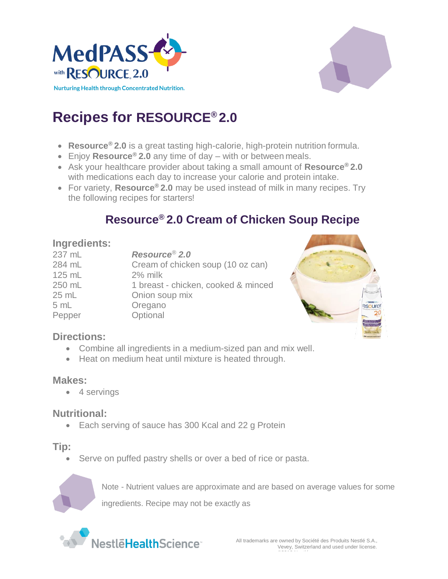



# **Recipes for RESOURCE® 2.0**

- **Resource® 2.0** is a great tasting high-calorie, high-protein nutrition formula.
- Enjoy **Resource® 2.0** any time of day with or between meals.
- Ask your healthcare provider about taking a small amount of **Resource® 2.0**  with medications each day to increase your calorie and protein intake.
- For variety, **Resource® 2.0** may be used instead of milk in many recipes. Try the following recipes for starters!

# **Resource® 2.0 Cream of Chicken Soup Recipe**

#### **Ingredients:**

| 237 mL   | Resource <sup>®</sup> 2.0           |
|----------|-------------------------------------|
| 284 mL   | Cream of chicken soup (10 oz can)   |
| $125$ mL | 2% milk                             |
| 250 mL   | 1 breast - chicken, cooked & minced |
| 25 mL    | Onion soup mix                      |
| 5 mL     | Oregano                             |
| Pepper   | Optional                            |
|          |                                     |



## **Directions:**

- Combine all ingredients in a medium-sized pan and mix well.
- Heat on medium heat until mixture is heated through.

## **Makes:**

• 4 servings

## **Nutritional:**

• Each serving of sauce has 300 Kcal and 22 g Protein

## **Tip:**

Serve on puffed pastry shells or over a bed of rice or pasta.



Note - Nutrient values are approximate and are based on average values for some

ingredients. Recipe may not be exactly as

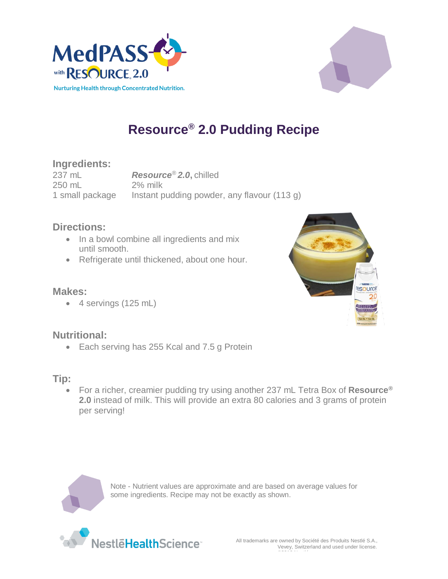



# **Resource® 2.0 Pudding Recipe**

## **Ingredients:**

237 mL *Resource® 2.0***,** chilled 250 mL 2% milk 1 small package Instant pudding powder, any flavour (113 g)

#### **Directions:**

- In a bowl combine all ingredients and mix until smooth.
- Refrigerate until thickened, about one hour.

#### **Makes:**

4 servings (125 mL)

## **Nutritional:**

• Each serving has 255 Kcal and 7.5 g Protein

## **Tip:**

 For a richer, creamier pudding try using another 237 mL Tetra Box of **Resource***®* **2.0** instead of milk. This will provide an extra 80 calories and 3 grams of protein per serving!



Note - Nutrient values are approximate and are based on average values for some ingredients. Recipe may not be exactly as shown.



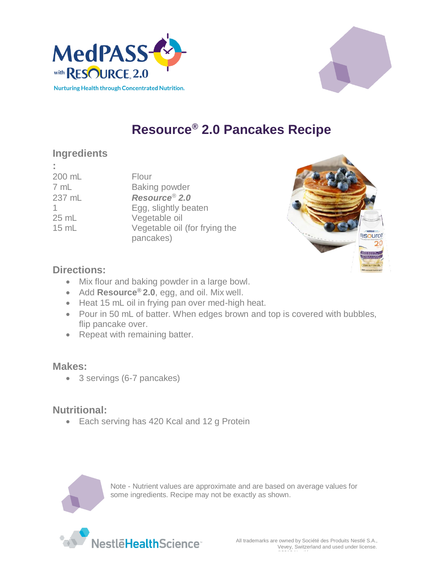



# **Resource® 2.0 Pancakes Recipe**

# **Ingredients**

**:** 200 mL Flour

7 mL Baking powder mL *Resource® 2.0* Egg, slightly beaten mL Vegetable oil mL Vegetable oil (for frying the pancakes)



#### **Directions:**

- Mix flour and baking powder in a large bowl.
- Add **Resource® 2.0**, egg, and oil. Mix well.
- Heat 15 mL oil in frying pan over med-high heat.
- Pour in 50 mL of batter. When edges brown and top is covered with bubbles, flip pancake over.
- Repeat with remaining batter.

#### **Makes:**

3 servings (6-7 pancakes)

## **Nutritional:**

• Each serving has 420 Kcal and 12 g Protein



Note - Nutrient values are approximate and are based on average values for some ingredients. Recipe may not be exactly as shown.